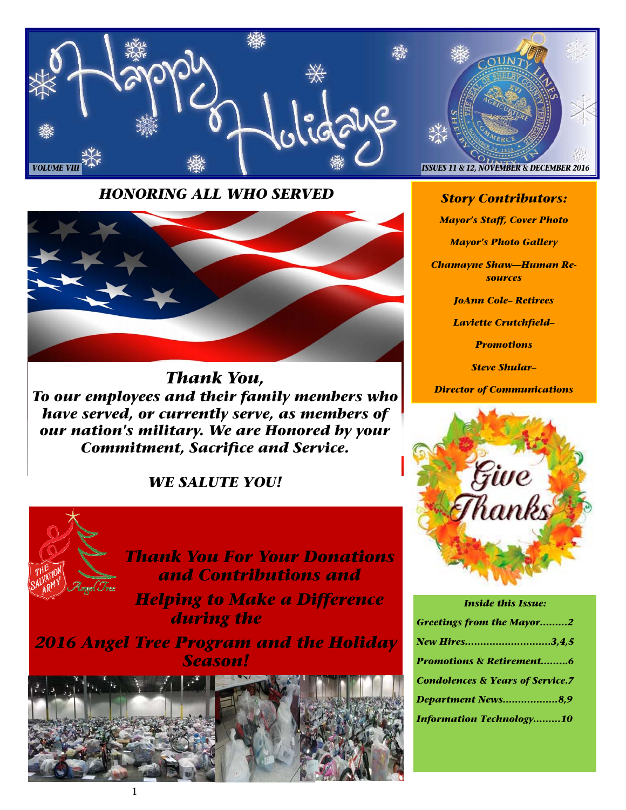

*HONORING ALL WHO SERVED* 



*Thank You, To our employees and their family members who have served, or currently serve, as members of our nation's military. We are Honored by your Commitment, Sacrifice and Service.* 

# *WE SALUTE YOU!*



*Story Contributors:* 

*Mayor's Staff, Cover Photo* 

*Mayor's Photo Gallery* 

*Chamayne Shaw—Human Resources* 

*JoAnn Cole– Retirees* 

*Laviette Crutchfield–* 

*Promotions* 

*Steve Shular–* 

*Director of Communications* 



| <b>Inside this Issue:</b>                   |  |  |
|---------------------------------------------|--|--|
| <b>Greetings from the Mayor2</b>            |  |  |
| New Hires3,4,5                              |  |  |
| <b>Promotions &amp; Retirement6</b>         |  |  |
| <b>Condolences &amp; Years of Service.7</b> |  |  |
| Department News8,9                          |  |  |
| <b>Information Technology10</b>             |  |  |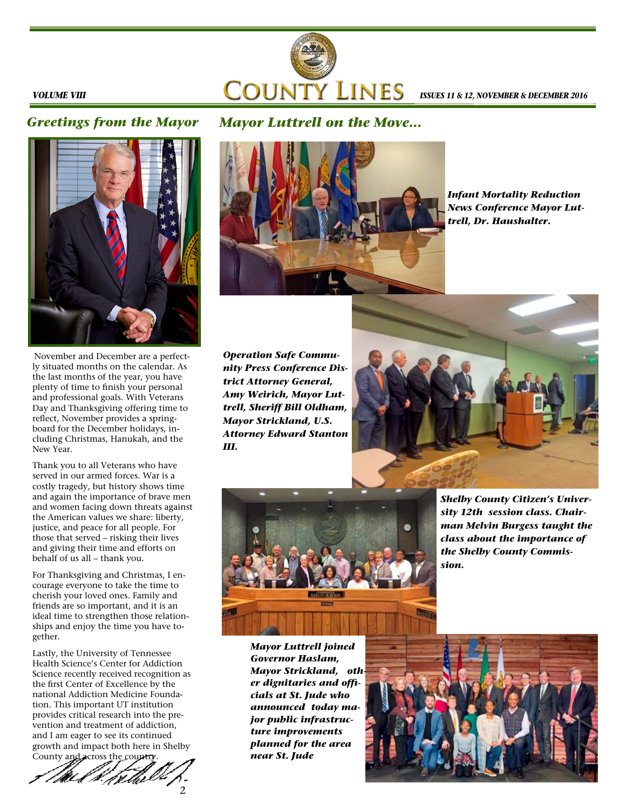

#### *VOLUME VIII*

## *Greetings from the Mayor*

# *Mayor Luttrell on the Move...*



November and December are a perfectly situated months on the calendar. As the last months of the year, you have plenty of time to finish your personal and professional goals. With Veterans Day and Thanksgiving offering time to reflect, November provides a springboard for the December holidays, including Christmas, Hanukah, and the New Year.

Thank you to all Veterans who have served in our armed forces. War is a costly tragedy, but history shows time and again the importance of brave men and women facing down threats against the American values we share: liberty, justice, and peace for all people. For those that served – risking their lives and giving their time and efforts on behalf of us all – thank you.

For Thanksgiving and Christmas, I encourage everyone to take the time to cherish your loved ones. Family and friends are so important, and it is an ideal time to strengthen those relationships and enjoy the time you have together.

Lastly, the University of Tennessee Health Science's Center for Addiction Science recently received recognition as the first Center of Excellence by the national Addiction Medicine Foundation. This important UT institution provides critical research into the prevention and treatment of addiction, and I am eager to see its continued growth and impact both here in Shelby





*Infant Mortality Reduction News Conference Mayor Luttrell, Dr. Haushalter.* 

*Operation Safe Community Press Conference District Attorney General, Amy Weirich, Mayor Luttrell, Sheriff Bill Oldham, Mayor Strickland, U.S. Attorney Edward Stanton III.* 





*Shelby County Citizen's University 12th session class. Chairman Melvin Burgess taught the class about the importance of the Shelby County Commission.* 

*Mayor Luttrell joined Governor Haslam, Mayor Strickland, other dignitaries and officials at St. Jude who announced today major public infrastructure improvements planned for the area near St. Jude* 

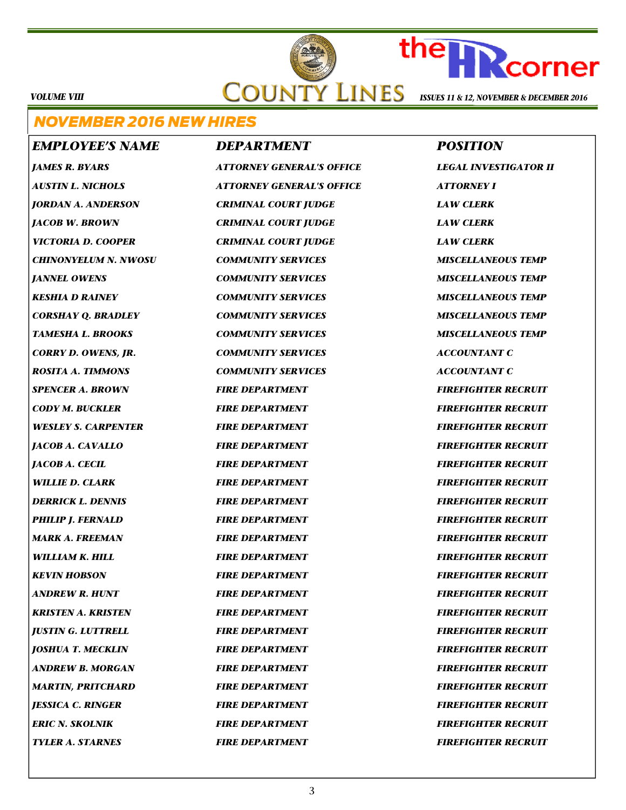# **COUNTY LINES ISSUES 11 & 12, NOVEMBER & DECEMBER 2016**

*VOLUME VIII* 

# *NOVEMBER 2016 NEW HIRES*

*EMPLOYEE'S NAME DEPARTMENT*  *POSITION JAMES R. BYARS ATTORNEY GENERAL'S OFFICE LEGAL INVESTIGATOR II AUSTIN L. NICHOLS ATTORNEY GENERAL'S OFFICE ATTORNEY I JORDAN A. ANDERSON CRIMINAL COURT JUDGE LAW CLERK JACOB W. BROWN CRIMINAL COURT JUDGE LAW CLERK VICTORIA D. COOPER CRIMINAL COURT JUDGE LAW CLERK CHINONYELUM N. NWOSU COMMUNITY SERVICES MISCELLANEOUS TEMP JANNEL OWENS COMMUNITY SERVICES MISCELLANEOUS TEMP KESHIA D RAINEY COMMUNITY SERVICES MISCELLANEOUS TEMP CORSHAY Q. BRADLEY COMMUNITY SERVICES MISCELLANEOUS TEMP TAMESHA L. BROOKS COMMUNITY SERVICES MISCELLANEOUS TEMP CORRY D. OWENS, JR. COMMUNITY SERVICES ACCOUNTANT C ROSITA A. TIMMONS COMMUNITY SERVICES ACCOUNTANT C*  **SPENCER A. BROWN FIRE DEPARTMENT FIRE FIREFIGHTER RECRUIT** *CODY M. BUCKLER FIRE DEPARTMENT FIREFIGHTER RECRUIT WESLEY S. CARPENTER FIRE DEPARTMENT FIREFIGHTER RECRUIT JACOB A. CAVALLO FIRE DEPARTMENT FIREFIGHTER RECRUIT JACOB A. CECIL FIRE DEPARTMENT FIREFIGHTER RECRUIT WILLIE D. CLARK FIRE DEPARTMENT FIREFIGHTER RECRUIT DERRICK L. DENNIS FIRE DEPARTMENT FIREFIGHTER RECRUIT* **PHILIP J. FERNALD FIRE DEPARTMENT FIRE FIREFIGHTER RECRUIT** *MARK A. FREEMAN FIRE DEPARTMENT FIREFIGHTER RECRUIT WILLIAM K. HILL FIRE DEPARTMENT FIREFIGHTER RECRUIT KEVIN HOBSON FIRE DEPARTMENT FIREFIGHTER RECRUIT ANDREW R. HUNT FIRE DEPARTMENT FIREFIGHTER RECRUIT KRISTEN A. KRISTEN FIRE DEPARTMENT FIREFIGHTER RECRUIT JUSTIN G. LUTTRELL FIRE DEPARTMENT FIREFIGHTER RECRUIT JOSHUA T. MECKLIN FIRE DEPARTMENT FIREFIGHTER RECRUIT ANDREW B. MORGAN FIRE DEPARTMENT FIREFIGHTER RECRUIT*  **MARTIN, PRITCHARD FIRE DEPARTMENT FIRE FIREFIGHTER RECRUIT** *JESSICA C. RINGER FIRE DEPARTMENT FIREFIGHTER RECRUIT*  **FRIC N. SKOLNIK FIRE DEPARTMENT FIRE FIREFIGHTER RECRUIT** 

**TYLER A. STARNES FIRE DEPARTMENT FIRE FIREFIGHTER RECRUIT** 

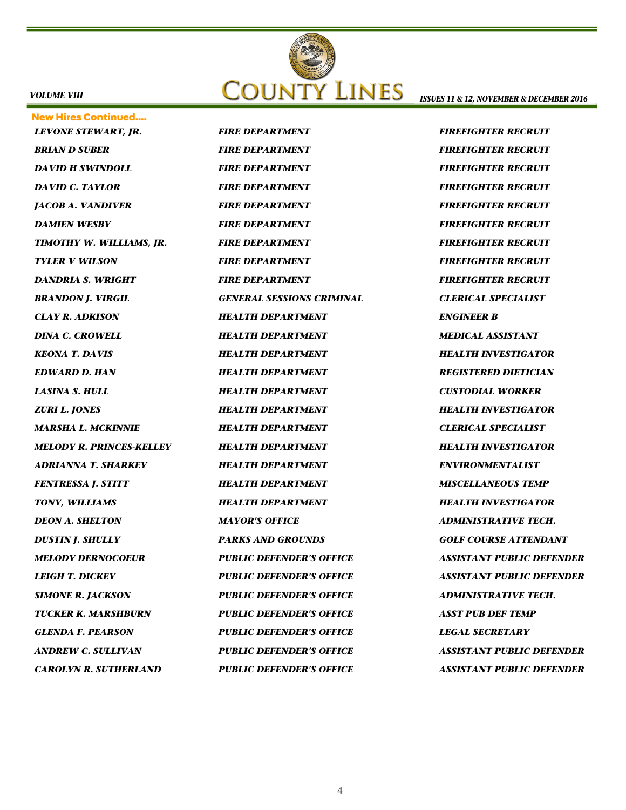

#### *VOLUME VIII*

New Hires Continued…. *LEVONE STEWART, JR. FIRE DEPARTMENT FIREFIGHTER RECRUIT*  **BRIAN D SUBER FIRE DEPARTMENT FIRE FIREFIGHTER RECRUIT DAVID H SWINDOLL FIRE DEPARTMENT FIRE FIREFIGHTER RECRUIT DAVID C. TAYLOR FIRE DEPARTMENT FIRE FIREFIGHTER RECRUIT** *JACOB A. VANDIVER FIRE DEPARTMENT FIREFIGHTER RECRUIT*  **DAMIEN WESBY FIRE DEPARTMENT FIRE FIREFIGHTER RECRUIT** *TIMOTHY W. WILLIAMS, JR. FIRE DEPARTMENT FIREFIGHTER RECRUIT TYLER V WILSON FIRE DEPARTMENT FIREFIGHTER RECRUIT*  **DANDRIA S. WRIGHT FIRE DEPARTMENT FIRE FIREFIGHTER RECRUIT** *BRANDON J. VIRGIL GENERAL SESSIONS CRIMINAL CLERICAL SPECIALIST CLAY R. ADKISON HEALTH DEPARTMENT ENGINEER B DINA C. CROWELL HEALTH DEPARTMENT MEDICAL ASSISTANT KEONA T. DAVIS HEALTH DEPARTMENT HEALTH INVESTIGATOR EDWARD D. HAN HEALTH DEPARTMENT REGISTERED DIETICIAN LASINA S. HULL HEALTH DEPARTMENT CUSTODIAL WORKER ZURI L. JONES HEALTH DEPARTMENT HEALTH INVESTIGATOR MARSHA L. MCKINNIE HEALTH DEPARTMENT CLERICAL SPECIALIST MELODY R. PRINCES-KELLEY HEALTH DEPARTMENT HEALTH INVESTIGATOR ADRIANNA T. SHARKEY HEALTH DEPARTMENT ENVIRONMENTALIST*  **FENTRESSA J. STITT FEALTH DEPARTMENT MISCELLANEOUS TEMP** *TONY, WILLIAMS HEALTH DEPARTMENT HEALTH INVESTIGATOR DEON A. SHELTON MAYOR'S OFFICE ADMINISTRATIVE TECH. DUSTIN J. SHULLY PARKS AND GROUNDS GOLF COURSE ATTENDANT MELODY DERNOCOEUR PUBLIC DEFENDER'S OFFICE ASSISTANT PUBLIC DEFENDER LEIGH T. DICKEY PUBLIC DEFENDER'S OFFICE ASSISTANT PUBLIC DEFENDER*  **SIMONE R. JACKSON FUBLIC DEFENDER'S OFFICE ADMINISTRATIVE TECH.** *TUCKER K. MARSHBURN PUBLIC DEFENDER'S OFFICE ASST PUB DEF TEMP GLENDA F. PEARSON PUBLIC DEFENDER'S OFFICE LEGAL SECRETARY ANDREW C. SULLIVAN PUBLIC DEFENDER'S OFFICE ASSISTANT PUBLIC DEFENDER CAROLYN R. SUTHERLAND PUBLIC DEFENDER'S OFFICE ASSISTANT PUBLIC DEFENDER* 

*ISSUES 11 & 12, NOVEMBER & DECEMBER 2016*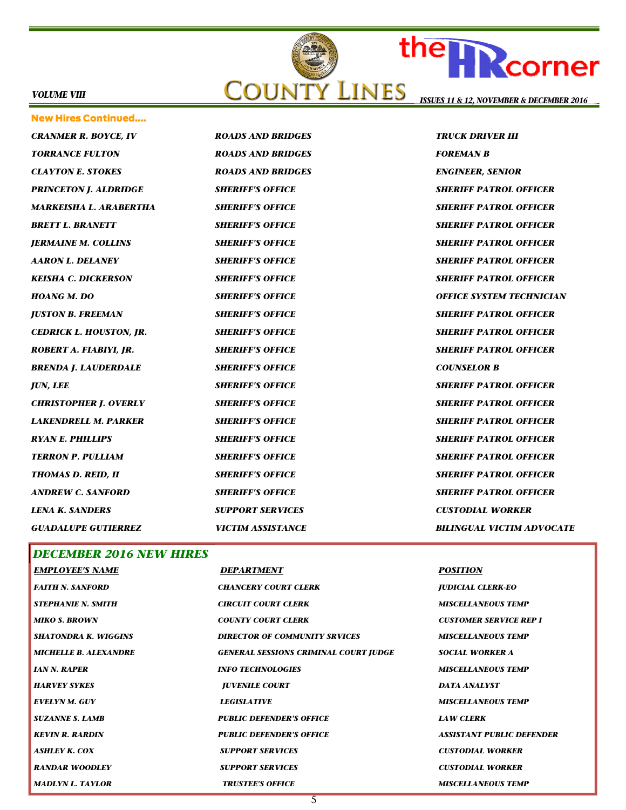

*CRANMER R. BOYCE, IV ROADS AND BRIDGES TRUCK DRIVER III TORRANCE FULTON ROADS AND BRIDGES FOREMAN B CLAYTON E. STOKES ROADS AND BRIDGES ENGINEER, SENIOR PRINCETON J. ALDRIDGE SHERIFF'S OFFICE SHERIFF PATROL OFFICER MARKEISHA L. ARABERTHA SHERIFF'S OFFICE SHERIFF PATROL OFFICER BRETT L. BRANETT SHERIFF'S OFFICE SHERIFF PATROL OFFICER JERMAINE M. COLLINS SHERIFF'S OFFICE SHERIFF PATROL OFFICER AARON L. DELANEY SHERIFF'S OFFICE SHERIFF PATROL OFFICER KEISHA C. DICKERSON SHERIFF'S OFFICE SHERIFF PATROL OFFICER HOANG M. DO SHERIFF'S OFFICE OFFICE SYSTEM TECHNICIAN JUSTON B. FREEMAN SHERIFF'S OFFICE SHERIFF PATROL OFFICER CEDRICK L. HOUSTON, JR. SHERIFF'S OFFICE SHERIFF PATROL OFFICER ROBERT A. FIABIYI, JR. SHERIFF'S OFFICE SHERIFF PATROL OFFICER BRENDA J. LAUDERDALE SHERIFF'S OFFICE COUNSELOR B JUN, LEE SHERIFF'S OFFICE SHERIFF PATROL OFFICER CHRISTOPHER J. OVERLY SHERIFF'S OFFICE SHERIFF PATROL OFFICER LAKENDRELL M. PARKER SHERIFF'S OFFICE SHERIFF PATROL OFFICER RYAN E. PHILLIPS SHERIFF'S OFFICE SHERIFF PATROL OFFICER TERRON P. PULLIAM SHERIFF'S OFFICE SHERIFF PATROL OFFICER THOMAS D. REID, II SHERIFF'S OFFICE SHERIFF PATROL OFFICER ANDREW C. SANFORD SHERIFF'S OFFICE SHERIFF PATROL OFFICER LENA K. SANDERS SUPPORT SERVICES CUSTODIAL WORKER GUADALUPE GUTIERREZ VICTIM ASSISTANCE BILINGUAL VICTIM ADVOCATE*  New Hires Continued….

*DECEMBER 2016 NEW HIRES* 

Rcorner

| <b>EMPLOYEE'S NAME</b>       | DEPARTMENT                                   | <b>POSITION</b>                  |
|------------------------------|----------------------------------------------|----------------------------------|
| <b>FAITH N. SANFORD</b>      | <b>CHANCERY COURT CLERK</b>                  | <b>JUDICIAL CLERK-EO</b>         |
| <b>STEPHANIE N. SMITH</b>    | <b>CIRCUIT COURT CLERK</b>                   | <b>MISCELLANEOUS TEMP</b>        |
| <b>MIKO S. BROWN</b>         | <b>COUNTY COURT CLERK</b>                    | <b>CUSTOMER SERVICE REP I</b>    |
| <b>SHATONDRA K. WIGGINS</b>  | <b>DIRECTOR OF COMMUNITY SRVICES</b>         | <b>MISCELLANEOUS TEMP</b>        |
| <b>MICHELLE B. ALEXANDRE</b> | <b>GENERAL SESSIONS CRIMINAL COURT JUDGE</b> | <b>SOCIAL WORKER A</b>           |
| <b>IAN N. RAPER</b>          | <b>INFO TECHNOLOGIES</b>                     | <b>MISCELLANEOUS TEMP</b>        |
| <b>HARVEY SYKES</b>          | <b>JUVENILE COURT</b>                        | <b>DATA ANALYST</b>              |
| <b>EVELYN M. GUY</b>         | <b>LEGISLATIVE</b>                           | <b>MISCELLANEOUS TEMP</b>        |
| <b>SUZANNE S. LAMB</b>       | <b>PUBLIC DEFENDER'S OFFICE</b>              | <b>LAW CLERK</b>                 |
| <b>KEVIN R. RARDIN</b>       | <b>PUBLIC DEFENDER'S OFFICE</b>              | <b>ASSISTANT PUBLIC DEFENDER</b> |
| <b>ASHLEY K. COX</b>         | <b>SUPPORT SERVICES</b>                      | <b>CUSTODIAL WORKER</b>          |
| <b>RANDAR WOODLEY</b>        | <b>SUPPORT SERVICES</b>                      | <b>CUSTODIAL WORKER</b>          |
| <b>MADLYN L. TAYLOR</b>      | <b>TRUSTEE'S OFFICE</b>                      | <b>MISCELLANEOUS TEMP</b>        |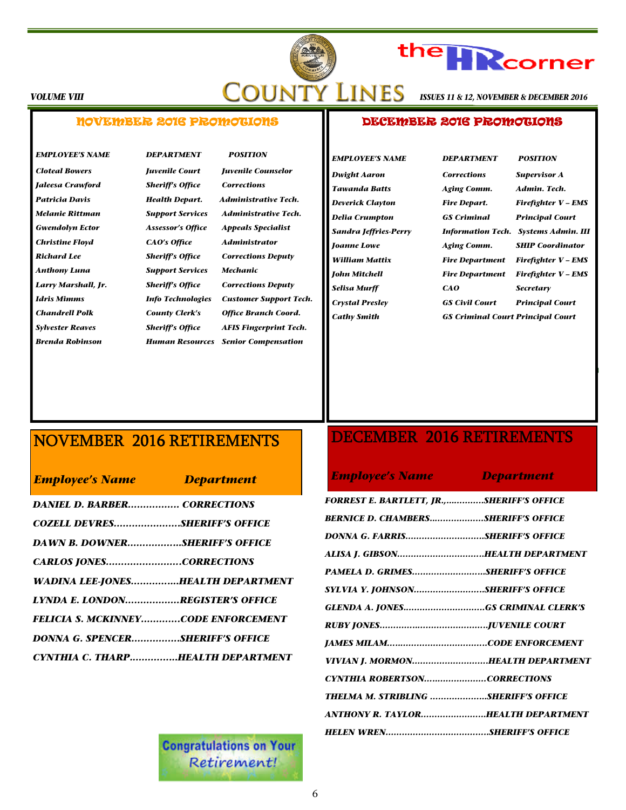

# the **HR** corner

*ISSUES 11 & 12, NOVEMBER & DECEMBER 2016* 

#### *VOLUME VIII*

### NOVEMBER 2016 PROMOTIONS

*Cloteal Bowers Juvenile Court Juvenile Counselor Jaleesa Crawford Sheriff's Office Corrections Gwendolyn Ector Assessor's Office Appeals Specialist Christine Floyd CAO's Office Administrator Richard Lee Sheriff's Office Corrections Deputy Anthony Luna Support Services Mechanic Larry Marshall, Jr. Sheriff's Office Corrections Deputy* 

*EMPLOYEE'S NAME DEPARTMENT POSITION*

*Patricia Davis Health Depart. Administrative Tech. Melanie Rittman Support Services Administrative Tech. Idris Mimms Info Technologies Customer Support Tech. Chandrell Polk County Clerk's Office Branch Coord. Sylvester Reaves Sheriff's Office AFIS Fingerprint Tech. Brenda Robinson Human Resources Senior Compensation* 

### DECEMBER 2016 PROMOTIONS

*Cathy Smith GS Criminal Court Principal Court* 

*EMPLOYEE'S NAME DEPARTMENT POSITION Dwight Aaron Corrections Supervisor A Tawanda Batts Aging Comm. Admin. Tech. Deverick Clayton Fire Depart. Firefighter V – EMS Delia Crumpton GS Criminal Principal Court Sandra Jeffries-Perry Information Tech. Systems Admin. III Joanne Lowe Aging Comm. SHIP Coordinator William Mattix Fire Department Firefighter V – EMS John Mitchell Fire Department Firefighter V – EMS Selisa Murff CAO Secretary Crystal Presley GS Civil Court Principal Court* 

# NOVEMBER 2016 RETIREMENTS

|  |  | <b>Employee's Name</b> |
|--|--|------------------------|
|  |  |                        |

*Employee's Name Department* 

| <b>DANIEL D. BARBER CORRECTIONS</b>        |  |
|--------------------------------------------|--|
| COZELL DEVRESSHERIFF'S OFFICE              |  |
| <b>DAWN B. DOWNERSHERIFF'S OFFICE</b>      |  |
| <b>CARLOS JONESCORRECTIONS</b>             |  |
| <b>WADINA LEE-JONESHEALTH DEPARTMENT</b>   |  |
| LYNDA E. LONDONREGISTER'S OFFICE           |  |
| <b>FELICIA S. MCKINNEYCODE ENFORCEMENT</b> |  |
| <b>DONNA G. SPENCERSHERIFF'S OFFICE</b>    |  |
| CYNTHIA C. THARPHEALTH DEPARTMENT          |  |

# DECEMBER 2016 RETIREMENTS

### *Employee's Name Department*

| FORREST E. BARTLETT, JR.,SHERIFF'S OFFICE  |  |
|--------------------------------------------|--|
| <b>BERNICE D. CHAMBERSSHERIFF'S OFFICE</b> |  |
| DONNA G. FARRISSHERIFF'S OFFICE            |  |
| ALISA J. GIBSONHEALTH DEPARTMENT           |  |
| PAMELA D. GRIMESSHERIFF'S OFFICE           |  |
| SYLVIA Y. JOHNSONSHERIFF'S OFFICE          |  |
|                                            |  |
|                                            |  |
|                                            |  |
| VIVIAN J. MORMONHEALTH DEPARTMENT          |  |
| CYNTHIA ROBERTSONCORRECTIONS               |  |
| THELMA M. STRIBLING SHERIFF'S OFFICE       |  |
| ANTHONY R. TAYLORHEALTH DEPARTMENT         |  |
|                                            |  |

**Congratulations on Your** Retirement!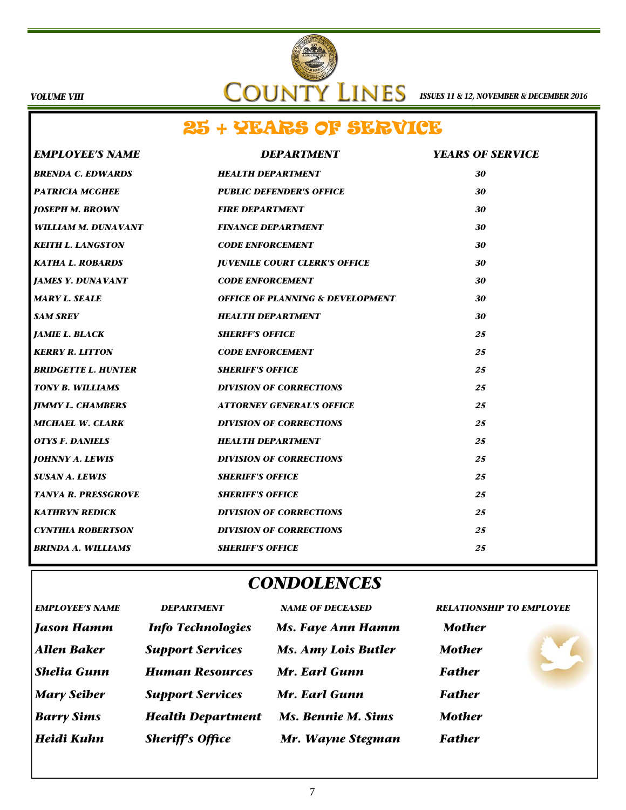

# 25 + YEARS OF SERVICE

| <b>EMPLOYEE'S NAME</b>     | <b>DEPARTMENT</b>                           | <b>YEARS OF SERVICE</b> |
|----------------------------|---------------------------------------------|-------------------------|
| <b>BRENDA C. EDWARDS</b>   | <b>HEALTH DEPARTMENT</b>                    | 30                      |
| <b>PATRICIA MCGHEE</b>     | <b>PUBLIC DEFENDER'S OFFICE</b>             | 30                      |
| <b>JOSEPH M. BROWN</b>     | <b>FIRE DEPARTMENT</b>                      | 30                      |
| WILLIAM M. DUNAVANT        | <b>FINANCE DEPARTMENT</b>                   | 30                      |
| <b>KEITH L. LANGSTON</b>   | <b>CODE ENFORCEMENT</b>                     | 30                      |
| <b>KATHA L. ROBARDS</b>    | <b>JUVENILE COURT CLERK'S OFFICE</b>        | 30                      |
| <b>JAMES Y. DUNAVANT</b>   | <b>CODE ENFORCEMENT</b>                     | 30                      |
| <b>MARY L. SEALE</b>       | <b>OFFICE OF PLANNING &amp; DEVELOPMENT</b> | 30                      |
| <b>SAM SREY</b>            | <b>HEALTH DEPARTMENT</b>                    | 30                      |
| <b>JAMIE L. BLACK</b>      | <b>SHERFF'S OFFICE</b>                      | 25                      |
| <b>KERRY R. LITTON</b>     | <b>CODE ENFORCEMENT</b>                     | 25                      |
| <b>BRIDGETTE L. HUNTER</b> | <b>SHERIFF'S OFFICE</b>                     | 25                      |
| <b>TONY B. WILLIAMS</b>    | <b>DIVISION OF CORRECTIONS</b>              | 25                      |
| <b>JIMMY L. CHAMBERS</b>   | <b>ATTORNEY GENERAL'S OFFICE</b>            | 25                      |
| <b>MICHAEL W. CLARK</b>    | <b>DIVISION OF CORRECTIONS</b>              | 25                      |
| <b>OTYS F. DANIELS</b>     | <b>HEALTH DEPARTMENT</b>                    | 25                      |
| <b>JOHNNY A. LEWIS</b>     | <b>DIVISION OF CORRECTIONS</b>              | 25                      |
| <b>SUSAN A. LEWIS</b>      | <b>SHERIFF'S OFFICE</b>                     | 25                      |
| <b>TANYA R. PRESSGROVE</b> | <b>SHERIFF'S OFFICE</b>                     | 25                      |
| <b>KATHRYN REDICK</b>      | <b>DIVISION OF CORRECTIONS</b>              | 25                      |
| <b>CYNTHIA ROBERTSON</b>   | <b>DIVISION OF CORRECTIONS</b>              | 25                      |
| <b>BRINDA A. WILLIAMS</b>  | <b>SHERIFF'S OFFICE</b>                     | 25                      |

# *CONDOLENCES*

| <b>EMPLOYEE'S NAME</b> | <b>DEPARTMENT</b>        | <b>NAME OF DECEASED</b>    | <b>RELATIONSHIP TO EMPLOYEE</b> |  |
|------------------------|--------------------------|----------------------------|---------------------------------|--|
| <b>Jason Hamm</b>      | <b>Info Technologies</b> | <b>Ms. Faye Ann Hamm</b>   | <b>Mother</b>                   |  |
| <b>Allen Baker</b>     | <b>Support Services</b>  | <b>Ms. Amy Lois Butler</b> | <b>Mother</b>                   |  |
| <b>Shelia Gunn</b>     | <b>Human Resources</b>   | Mr. Earl Gunn              | <b>Father</b>                   |  |
| <b>Mary Seiber</b>     | <b>Support Services</b>  | Mr. Earl Gunn              | <b>Father</b>                   |  |
| <b>Barry Sims</b>      | <b>Health Department</b> | <b>Ms. Bennie M. Sims</b>  | <b>Mother</b>                   |  |
| Heidi Kuhn             | <b>Sheriff's Office</b>  | Mr. Wayne Stegman          | <b>Father</b>                   |  |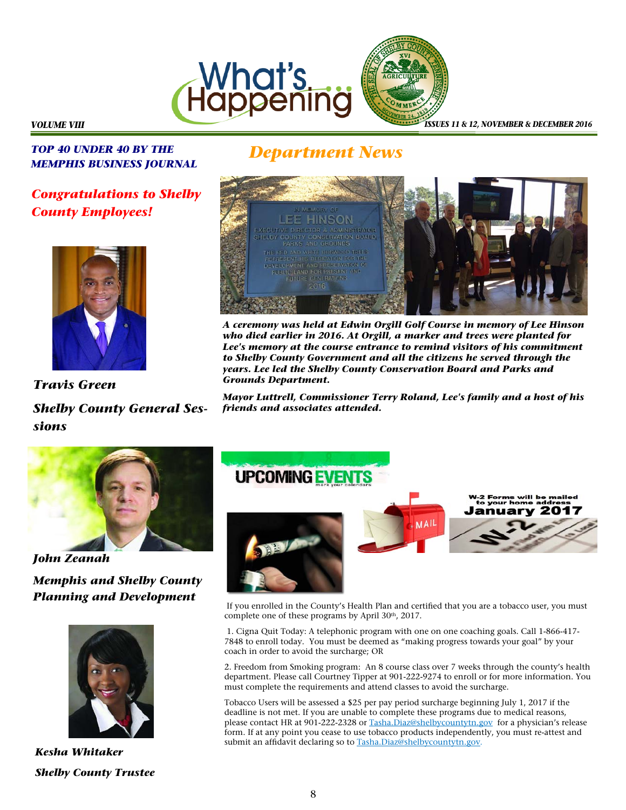



*ISSUES 11 & 12, NOVEMBER & DECEMBER 2016* 

### *VOLUME VIII*

*TOP 40 UNDER 40 BY THE MEMPHIS BUSINESS JOURNAL Department News* 

# *Congratulations to Shelby County Employees!*



*Travis Green Shelby County General Sessions* 



*A ceremony was held at Edwin Orgill Golf Course in memory of Lee Hinson who died earlier in 2016. At Orgill, a marker and trees were planted for*  Lee's memory at the course entrance to remind visitors of his commitment *to Shelby County Government and all the citizens he served through the years. Lee led the Shelby County Conservation Board and Parks and Grounds Department.* 

*Mayor Luttrell, Commissioner Terry Roland, Lee's family and a host of his friends and associates attended.* 



*John Zeanah Memphis and Shelby County* 

*Planning and Development* 



*Kesha Whitaker Shelby County Trustee* 



 If you enrolled in the County's Health Plan and certified that you are a tobacco user, you must complete one of these programs by April 30<sup>th</sup>, 2017.

 1. Cigna Quit Today: A telephonic program with one on one coaching goals. Call 1-866-417- 7848 to enroll today. You must be deemed as "making progress towards your goal" by your coach in order to avoid the surcharge; OR

2. Freedom from Smoking program: An 8 course class over 7 weeks through the county's health department. Please call Courtney Tipper at 901-222-9274 to enroll or for more information. You must complete the requirements and attend classes to avoid the surcharge.

Tobacco Users will be assessed a \$25 per pay period surcharge beginning July 1, 2017 if the deadline is not met. If you are unable to complete these programs due to medical reasons, please contact HR at 901-222-2328 or Tasha.Diaz@shelbycountytn.gov for a physician's release form. If at any point you cease to use tobacco products independently, you must re-attest and submit an affidavit declaring so to Tasha.Diaz@shelbycountytn.gov.